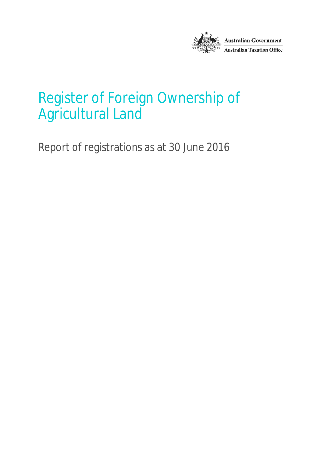

## Register of Foreign Ownership of Agricultural Land

Report of registrations as at 30 June 2016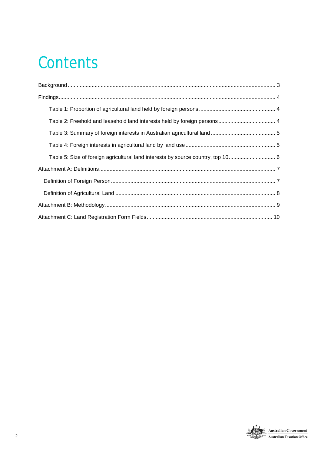# **Contents**

| Table 5: Size of foreign agricultural land interests by source country, top 10 6 |  |
|----------------------------------------------------------------------------------|--|
|                                                                                  |  |
|                                                                                  |  |
|                                                                                  |  |
|                                                                                  |  |
|                                                                                  |  |

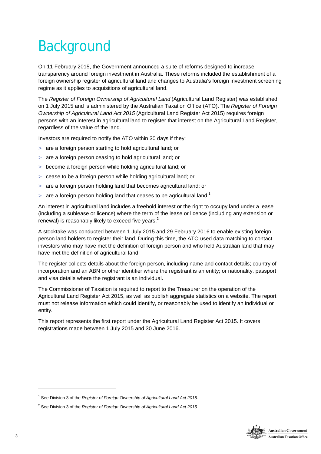# **Background**

On 11 February 2015, the Government announced a suite of reforms designed to increase transparency around foreign investment in Australia. These reforms included the establishment of a foreign ownership register of agricultural land and changes to Australia's foreign investment screening regime as it applies to acquisitions of agricultural land.

The *Register of Foreign Ownership of Agricultural Land* (Agricultural Land Register) was established on 1 July 2015 and is administered by the Australian Taxation Office (ATO). The *Register of Foreign Ownership of Agricultural Land Act 2015* (Agricultural Land Register Act 2015) requires foreign persons with an interest in agricultural land to register that interest on the Agricultural Land Register, regardless of the value of the land.

Investors are required to notify the ATO within 30 days if they:

- are a foreign person starting to hold agricultural land; or
- > are a foreign person ceasing to hold agricultural land; or
- > become a foreign person while holding agricultural land; or
- > cease to be a foreign person while holding agricultural land; or
- > are a foreign person holding land that becomes agricultural land; or
- > are a foreign person holding land that ceases to be agricultural land.<sup>1</sup>

An interest in agricultural land includes a freehold interest or the right to occupy land under a lease (including a sublease or licence) where the term of the lease or licence (including any extension or renewal) is reasonably likely to exceed five years.<sup>2</sup>

A stocktake was conducted between 1 July 2015 and 29 February 2016 to enable existing foreign person land holders to register their land. During this time, the ATO used data matching to contact investors who may have met the definition of foreign person and who held Australian land that may have met the definition of agricultural land.

The register collects details about the foreign person, including name and contact details; country of incorporation and an ABN or other identifier where the registrant is an entity; or nationality, passport and visa details where the registrant is an individual.

The Commissioner of Taxation is required to report to the Treasurer on the operation of the Agricultural Land Register Act 2015, as well as publish aggregate statistics on a website. The report must not release information which could identify, or reasonably be used to identify an individual or entity.

This report represents the first report under the Agricultural Land Register Act 2015. It covers registrations made between 1 July 2015 and 30 June 2016.



<sup>1</sup> See Division 3 of the *Register of Foreign Ownership of Agricultural Land Act 2015.*

<sup>2</sup> See Division 3 of the *Register of Foreign Ownership of Agricultural Land Act 2015.*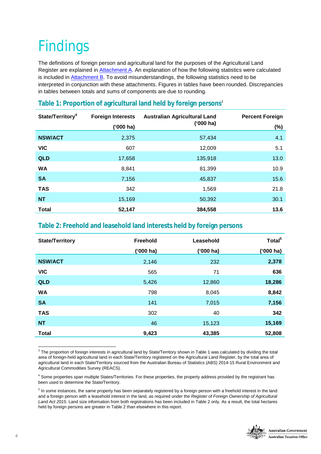# Findings

The definitions of foreign person and agricultural land for the purposes of the Agricultural Land Register are explained in Attachment A. An explanation of how the following statistics were calculated is included in Attachment B. To avoid misunderstandings, the following statistics need to be interpreted in conjunction with these attachments. Figures in tables have been rounded. Discrepancies in tables between totals and sums of components are due to rounding.

| State/Territory <sup>4</sup> | <b>Foreign Interests</b><br>('000 ha) | <b>Australian Agricultural Land</b><br>('000 ha) | <b>Percent Foreign</b><br>(%) |
|------------------------------|---------------------------------------|--------------------------------------------------|-------------------------------|
| <b>NSW/ACT</b>               | 2,375                                 | 57,434                                           | 4.1                           |
| <b>VIC</b>                   | 607                                   | 12,009                                           | 5.1                           |
| <b>QLD</b>                   | 17,658                                | 135,918                                          | 13.0                          |
| <b>WA</b>                    | 8,841                                 | 81,399                                           | 10.9                          |
| <b>SA</b>                    | 7,156                                 | 45,837                                           | 15.6                          |
| <b>TAS</b>                   | 342                                   | 1,569                                            | 21.8                          |
| <b>NT</b>                    | 15,169                                | 50,392                                           | 30.1                          |
| <b>Total</b>                 | 52,147                                | 384,558                                          | 13.6                          |

### **Table 1: Proportion of agricultural land held by foreign persons**<sup>3</sup>

#### **Table 2: Freehold and leasehold land interests held by foreign persons**

| <b>State/Territory</b> | Freehold  | Leasehold | Total <sup>5</sup> |
|------------------------|-----------|-----------|--------------------|
|                        | ('000 ha) | ('000 ha) | ('000 ha)          |
| <b>NSW/ACT</b>         | 2,146     | 232       | 2,378              |
| <b>VIC</b>             | 565       | 71        | 636                |
| <b>QLD</b>             | 5,426     | 12,860    | 18,286             |
| <b>WA</b>              | 798       | 8,045     | 8,842              |
| <b>SA</b>              | 141       | 7,015     | 7,156              |
| <b>TAS</b>             | 302       | 40        | 342                |
| <b>NT</b>              | 46        | 15,123    | 15,169             |
| <b>Total</b>           | 9,423     | 43,385    | 52,808             |

 3 The proportion of foreign interests in agricultural land by State/Territory shown in Table 1 was calculated by dividing the total area of foreign-held agricultural land in each State/Territory registered on the Agricultural Land Register, by the total area of agricultural land in each State/Territory sourced from the Australian Bureau of Statistics (ABS) 2014-15 Rural Environment and Agricultural Commodities Survey (REACS).

<sup>&</sup>lt;sup>5</sup> In some instances, the same property has been separately registered by a foreign person with a freehold interest in the land and a foreign person with a leasehold interest in the land, as required under the *Register of Foreign Ownership of Agricultural Land Act 2015*. Land size information from both registrations has been included in Table 2 only. As a result, the total hectares held by foreign persons are greater in Table 2 than elsewhere in this report.



<sup>&</sup>lt;sup>4</sup> Some properties span multiple States/Territories. For these properties, the property address provided by the registrant has been used to determine the State/Territory.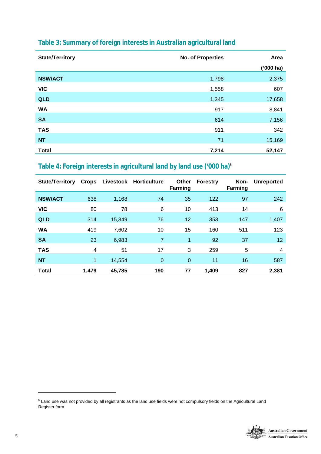| <b>State/Territory</b> | No. of Properties | Area        |
|------------------------|-------------------|-------------|
|                        |                   | $(900)$ ha) |
| <b>NSW/ACT</b>         | 1,798             | 2,375       |
| <b>VIC</b>             | 1,558             | 607         |
| QLD                    | 1,345             | 17,658      |
| <b>WA</b>              | 917               | 8,841       |
| <b>SA</b>              | 614               | 7,156       |
| <b>TAS</b>             | 911               | 342         |
| <b>NT</b>              | 71                | 15,169      |
| <b>Total</b>           | 7,214             | 52,147      |

### **Table 3: Summary of foreign interests in Australian agricultural land**

### **Table 4: Foreign interests in agricultural land by land use ('000 ha)**<sup>6</sup>

| <b>State/Territory</b> | <b>Crops</b>         |        | Livestock Horticulture | <b>Other</b><br><b>Farming</b> | <b>Forestry</b> | Non-<br>Farming | <b>Unreported</b> |
|------------------------|----------------------|--------|------------------------|--------------------------------|-----------------|-----------------|-------------------|
| <b>NSW/ACT</b>         | 638                  | 1,168  | 74                     | 35                             | 122             | 97              | 242               |
| <b>VIC</b>             | 80                   | 78     | 6                      | 10                             | 413             | 14              | 6                 |
| <b>QLD</b>             | 314                  | 15,349 | 76                     | 12                             | 353             | 147             | 1,407             |
| <b>WA</b>              | 419                  | 7,602  | 10                     | 15                             | 160             | 511             | 123               |
| <b>SA</b>              | 23                   | 6,983  | 7                      | $\mathbf{1}$                   | 92              | 37              | 12                |
| <b>TAS</b>             | 4                    | 51     | 17                     | 3                              | 259             | 5               | $\overline{4}$    |
| <b>NT</b>              | $\blacktriangleleft$ | 14,554 | $\mathbf{0}$           | $\mathbf 0$                    | 11              | 16              | 587               |
| <b>Total</b>           | 1,479                | 45,785 | 190                    | 77                             | 1,409           | 827             | 2,381             |

 $^6$  Land use was not provided by all registrants as the land use fields were not compulsory fields on the Agricultural Land Register form.

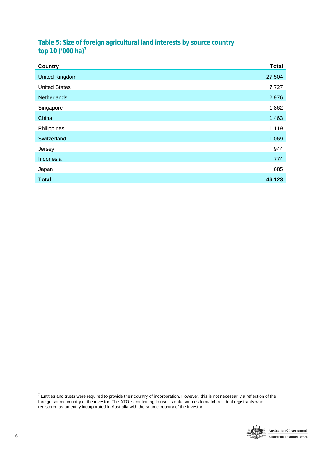#### **Table 5: Size of foreign agricultural land interests by source country top 10 ('000 ha)<sup>7</sup>**

| <b>Country</b>        | <b>Total</b> |
|-----------------------|--------------|
| <b>United Kingdom</b> | 27,504       |
| <b>United States</b>  | 7,727        |
| Netherlands           | 2,976        |
| Singapore             | 1,862        |
| China                 | 1,463        |
| Philippines           | 1,119        |
| Switzerland           | 1,069        |
| Jersey                | 944          |
| Indonesia             | 774          |
| Japan                 | 685          |
| <b>Total</b>          | 46,123       |

 $^7$  Entities and trusts were required to provide their country of incorporation. However, this is not necessarily a reflection of the foreign source country of the investor. The ATO is continuing to use its data sources to match residual registrants who registered as an entity incorporated in Australia with the source country of the investor.

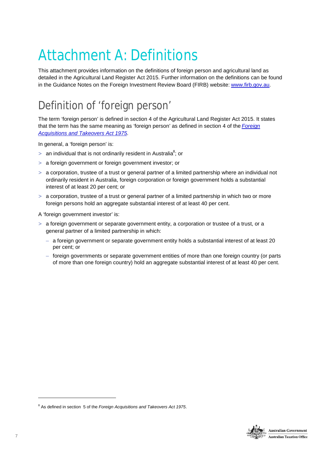# Attachment A: Definitions

This attachment provides information on the definitions of foreign person and agricultural land as detailed in the Agricultural Land Register Act 2015. Further information on the definitions can be found in the Guidance Notes on the Foreign Investment Review Board (FIRB) website: [www.firb.gov.au](http://www.firb.gov.au).

### Definition of 'foreign person'

The term 'foreign person' is defined in section 4 of the Agricultural Land Register Act 2015. It states that the term has the same meaning as 'foreign person' as defined in section 4 of the *Foreign Acquisitions and Takeovers Act 1975*.

In general, a 'foreign person' is:

- > an individual that is not ordinarily resident in Australia $^8$ ; or
- a foreign government or foreign government investor; or
- > a corporation, trustee of a trust or general partner of a limited partnership where an individual not ordinarily resident in Australia, foreign corporation or foreign government holds a substantial interest of at least 20 per cent; or
- > a corporation, trustee of a trust or general partner of a limited partnership in which two or more foreign persons hold an aggregate substantial interest of at least 40 per cent.

A 'foreign government investor' is:

- $>$  a foreign government or separate government entity, a corporation or trustee of a trust, or a general partner of a limited partnership in which:
	- a foreign government or separate government entity holds a substantial interest of at least 20 per cent; or
	- foreign governments or separate government entities of more than one foreign country (or parts of more than one foreign country) hold an aggregate substantial interest of at least 40 per cent.



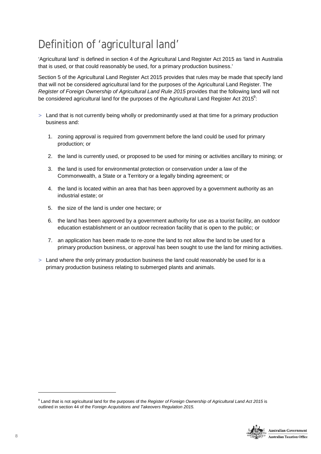### Definition of 'agricultural land'

'Agricultural land' is defined in section 4 of the Agricultural Land Register Act 2015 as 'land in Australia that is used, or that could reasonably be used, for a primary production business.'

Section 5 of the Agricultural Land Register Act 2015 provides that rules may be made that specify land that will not be considered agricultural land for the purposes of the Agricultural Land Register. The *Register of Foreign Ownership of Agricultural Land Rule 2015* provides that the following land will not be considered agricultural land for the purposes of the Agricultural Land Register Act 2015 $^9$ :

- > Land that is not currently being wholly or predominantly used at that time for a primary production business and:
	- 1. zoning approval is required from government before the land could be used for primary production; or
	- 2. the land is currently used, or proposed to be used for mining or activities ancillary to mining; or
	- 3. the land is used for environmental protection or conservation under a law of the Commonwealth, a State or a Territory or a legally binding agreement; or
	- 4. the land is located within an area that has been approved by a government authority as an industrial estate; or
	- 5. the size of the land is under one hectare; or
	- 6. the land has been approved by a government authority for use as a tourist facility, an outdoor education establishment or an outdoor recreation facility that is open to the public; or
	- 7. an application has been made to re-zone the land to not allow the land to be used for a primary production business, or approval has been sought to use the land for mining activities.
- Land where the only primary production business the land could reasonably be used for is a primary production business relating to submerged plants and animals.

<sup>9</sup> Land that is not agricultural land for the purposes of the *Register of Foreign Ownership of Agricultural Land Act 2015* is outlined in section 44 of the *Foreign Acquisitions and Takeovers Regulation 2015.*

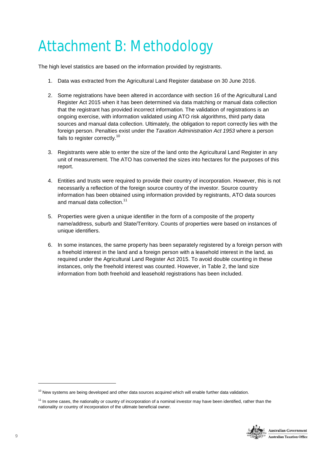# Attachment B: Methodology

The high level statistics are based on the information provided by registrants.

- 1. Data was extracted from the Agricultural Land Register database on 30 June 2016.
- 2. Some registrations have been altered in accordance with section 16 of the Agricultural Land Register Act 2015 when it has been determined via data matching or manual data collection that the registrant has provided incorrect information*.* The validation of registrations is an ongoing exercise, with information validated using ATO risk algorithms, third party data sources and manual data collection. Ultimately, the obligation to report correctly lies with the foreign person. Penalties exist under the *Taxation Administration Act 1953* where a person fails to register correctly.<sup>10</sup>
- 3. Registrants were able to enter the size of the land onto the Agricultural Land Register in any unit of measurement. The ATO has converted the sizes into hectares for the purposes of this report.
- 4. Entities and trusts were required to provide their country of incorporation. However, this is not necessarily a reflection of the foreign source country of the investor. Source country information has been obtained using information provided by registrants, ATO data sources and manual data collection.<sup>11</sup>
- 5. Properties were given a unique identifier in the form of a composite of the property name/address, suburb and State/Territory. Counts of properties were based on instances of unique identifiers.
- 6. In some instances, the same property has been separately registered by a foreign person with a freehold interest in the land and a foreign person with a leasehold interest in the land, as required under the Agricultural Land Register Act 2015. To avoid double counting in these instances, only the freehold interest was counted. However, in Table 2, the land size information from both freehold and leasehold registrations has been included.

<sup>&</sup>lt;sup>11</sup> In some cases, the nationality or country of incorporation of a nominal investor may have been identified, rather than the nationality or country of incorporation of the ultimate beneficial owner.



 $10$  New systems are being developed and other data sources acquired which will enable further data validation.